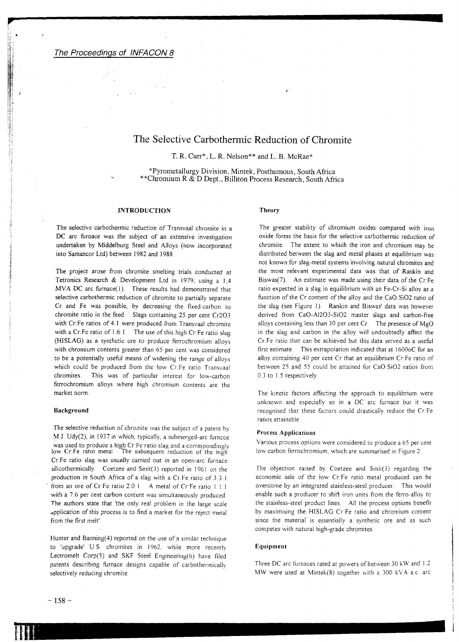# The Selective Carbothermic Reduction of Chromite

T. R. Curr\*, L. R. Nelson\*\* and L. B. McRae\*

\*Pyrometallurgy Division, Mintek, Posthumous, South Africa \*\*Chromium R & D Dept., Billiton Process Research, South Africa

# INTRODUCTION

into Samancor Ltd) between 1982 and 1988.

The selective carbothermic reduction of Transvaal chromite in a DC arc furnace was the subject of an extensive investigation undertaken by Middelburg Steel and Alloys (now incorporated

The project arose from chromite smelting trials conducted at Tetronics Research & Development Ltd in 1979, using a 1,4 MVA DC arc furnace(1). These results had demonstrated that selective carbothermic reduction of chromite to partially separate Cr and Fe was possible, by decreasing the fixed-carbon to chromite ratio in the feed. Slags containing 25 per cent Cr203 with Cr.Fe ratios of 4:1 were produced from Transvaal chromite with a Cr:Fe ratio of 1.6:1. The use of this high Cr:Fe ratio slag (HISLAG) as a synthetic ore to produce ferrochromium alloys with chromium contents greater than 65 per cent was considered to be a potentially useful means of widening the range of alloys which could be produced from the low Cr.Fe ratio Transvaal chromites. This was of particular interest for low-carbon ferrochromium alloys where high chromium contents are the market norm.

#### Background

The selective reduction of chromite was the subject of a patent by M.J. Udy(2), in 1937 in which, typically, a submerged-arc furnace was used to produce a high Cr:Fe ratio slag and a correspondingly<br>low Cr:Fe ratio metal. The subsequent reduction of the high The subsequent reduction of the high Cr:Fe ratio slag was usually carried out in an open-arc furnace silicothermically. Coetzee and Smit(3) reported in 1961 on the production in South Africa of a slag with a Cr:Fe ratio of 3.3:1 from an ore of Cr:Fe ratio 2.0:1. A metal of Cr:Fe ratio 1.1:1 with a 7.6 per cent carbon content was simultaneously produced. The authors state that 'the only real problem in the large scale application of this process is to find a market for the reject metal from the first melt'

Hunter and Banning(4) reported on the use of a similar technique to 'upgrade' U.S. chromites in 1962, while more recently Lectromelt Corp(5) and SKF Steel Engineering(6) have filed patents describing furnace designs capable of carbothennically selectively reducing chromite.

# Theory

The greater stability of chromium oxides compared with iron oxide forms the basis for the selective carbothermic reduction of chrornite. The extent to which the iron and chromium may be distributed between the slag and metal phases at equilibrium was not known for slag-metal systems involving natural chromites and the most relevant experimental data was that of Rankin and Biswas $(7)$ . An estimate was made using their data of the Cr:Fe ratio expected in a slag in equilibrium with an Fe-Cr-Si alloy as a function of the Cr content of the alloy and the CaO:SiO2 ratio of the slag (see Figure I) Rankin and Biswas' data was however derived from CaO-AI203-Si02 master slags and carbon-free alloys containing less than 30 per cent  $Cr$ . The presence of  $MgO$ in the slag and carbon in the alloy will undoubtedly affect the Cr. Fe ratio that can be achieved but this data served as a useful first estimate. This extrapolation indicated that at 1600oC for an alloy containing 40 per cent Cr that an equilibrium Cr.Fe ratio of between 25 and 55 could be attained for CaO:SiO2 ratios from 0.3 to 1.5 respectively

**a**

The kinetic factors affecting the approach to equilibrium were unknown and especially so in a DC arc furnace but it was recognised that these factors could drastically reduce the Cr:Fe ratios attainable

# Process Applications

Various process options were considered to produce a 65 per cent low carbon ferrochromium, which are summarised in Figure 2

The objection raised by Coetzee and Smit(3) regarding the economic sale of the low Cr.Fe ratio metal produced can be overcome by an integrated stainless-steel producer. This would enable such a producer to shift iron units from the ferro-alloy to the stainless-steel product lines. All the process options benefit by maximising the HISLAG Cr:Fe ratio and chromium content since the material is essentially a synthetic ore and as such competes with natural high-grade chromites

#### **Equipment**

Three DC arc furnaces rated at powers of between 30 kW and 1.2 MW were used at Mintek $(8)$  together with a 300 kVA a.c. arc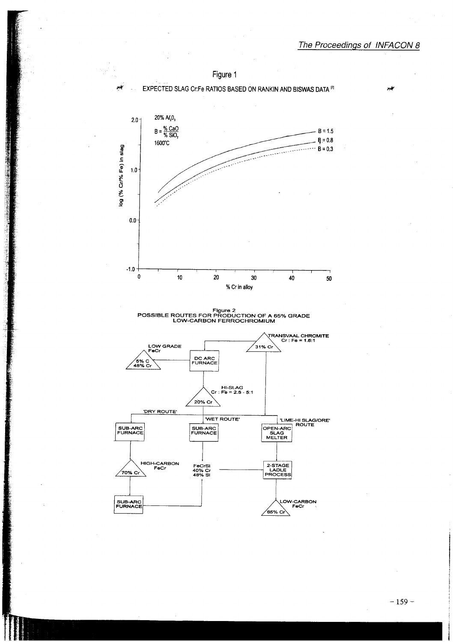

Figure 1

Figure 2<br>POSSIBLE ROUTES FOR PRODUCTION OF A 65% GRADE<br>LOW-CARBON FERROCHROMIUM

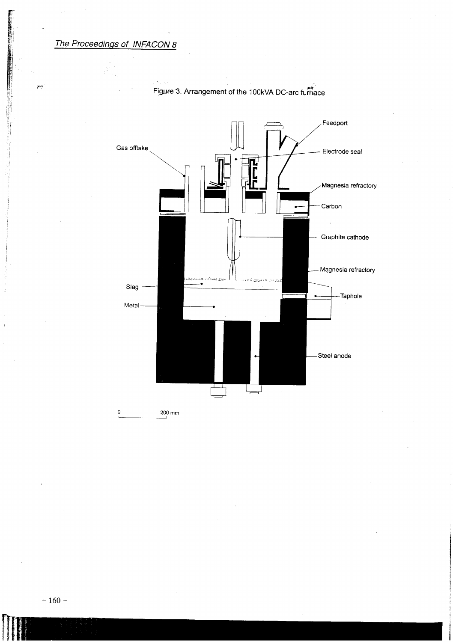$\epsilon_{\rm{max}}$ 

**Burning Corporation** 

an)



Figure 3. Arrangement of the 100kVA DC-arc furnace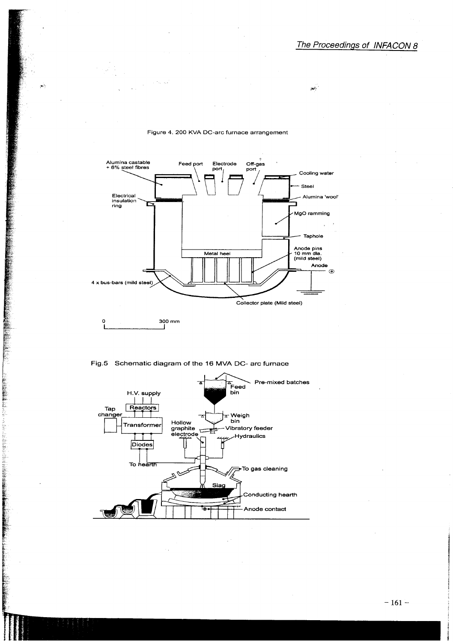يخيبوا



## Figure 4. 200 KVA DC-arc furnace arrangement

Fig.5 Schematic diagram of the 16 MVA DC- arc furnace

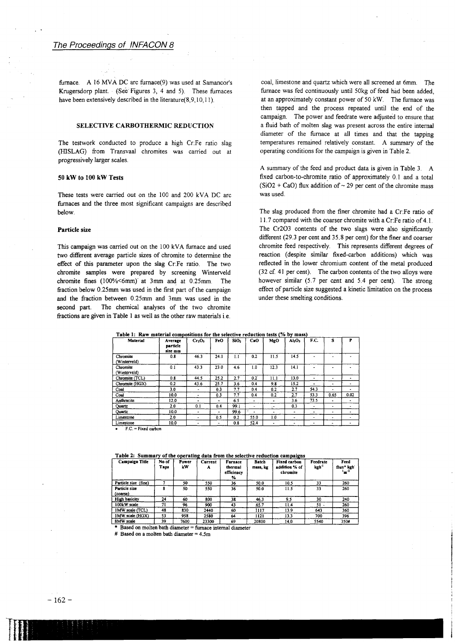furnace. A 16 MVA DC arc furnace(9) was used at Samancor's Krugersdorp plant. (Sec' Figures 3, 4 and 5). These furnaces have been extensively described in the literature(8,9,10,11).

# SELECTIVE CARBOTHERMIC REDUCTION

The testwork conducted to produce a high Cr:Fe ratio slag (HISLAG) from Transvaal chromites was carried out at progressively larger scales.

#### 50 kW to 100 kW Tests

These tests were carried out on the 100 and 200 kVA DC arc furnaces and the three most significant campaigns are described below.

#### Particle size

This campaign was carried out on the 100 kVA furnace and used two different average particle sizes of chromite to determine the effect of this parameter upon the slag Cr:Fe ratio. The two chromite samples were prepared by screening Winterveld chromite fines (100%<6mm)" at 3mm and at 0.25mm. The fraction below 0.25mm was used in the first part of the campaign and the fraction between 0.25mm and 3mm was used in the second part. The chemical analyses of the two chromite fractions are given in Table 1 as well as the other raw materials i.e.

coal, limestone and quartz which were all screened at 6mm. The furnace was fed continuously until 50kg of feed had been added, at an approximately constant power of 50 kW. The furnace was then tapped and the process repeated until the end of the campaign. The power and feedrate were adjusted to ensure that a fluid bath of molten slag was present across the entire internal diameter of the furnace at all times and that the tapping temperatures remained relatively constant. A summary of the operating conditions for the campaign is given in Table 2.

A summary of the feed and product data is given in Table 3. A fixed carbon-to-chrornite ratio of approximately 0.1 and a total  $(SiO2 + CaO)$  flux addition of ~ 29 per cent of the chromite mass was used.

The slag produced from the finer chromite had a Cr:Fe ratio of 11.7 compared with the coarser chromite with a Cr:Fe ratio of 4.1. The Cr203 contents of the two slags were also significantly different (29.3 per cent and 35.8 per cent) for the finer and coarser chromite feed respectively. This represents different degrees of reaction (despite similar fixed-carbon additions) which was reflected in the lower chromium content of the metal produced (32 cf. 41 per cent). The carbon contents of the two alloys were however similar (5.7 per cent and 5.4 per cent). The strong effect of particle size suggested a kinetic limitation on the process under these smelting conditions.

| <b>Material</b>          | Average<br>particle<br>size mm | Cr <sub>2</sub> O <sub>3</sub> | FeO            | SiO <sub>2</sub> | CaO                      | MgO             | AI <sub>2</sub> O <sub>3</sub> | F.C.           | s                        | P    |
|--------------------------|--------------------------------|--------------------------------|----------------|------------------|--------------------------|-----------------|--------------------------------|----------------|--------------------------|------|
| Chromite<br>(Winterveld) | 0.8                            | 46.3                           | 24.1           | 1.1              | 0.2                      | 11.5            | 14.5                           |                |                          |      |
| Chromite<br>(Winterveld) | 0.1                            | 43.3                           | 23.0           | 4.6              | 1.0                      | 12.3            | 14.1                           |                |                          |      |
| Chromite (TCL)           | 0.8                            | 44.5                           | 25.2           | 2.7              | 0.2                      | 11.1            | 13.0                           | ۰              | ۰                        |      |
| Chromite (HGX)           | 0.2                            | 43.6                           | 25.7           | 3.6              | 0.4                      | 9.8             | 15.2                           | ۰.             | ۰                        | ۰    |
| Coal                     | 3.0                            | ۰                              | 0.3            | 7.7              | 0.4                      | 0.2             | 2.7                            | 54.3           |                          | ٠    |
| Coal                     | 10.0                           | ۰                              | 0.3            | 7.7              | 0.4                      | 0.2             | 2.7                            | 53.3           | 0.65                     | 0.02 |
| Anthracite               | 12.0                           |                                | ۰              | 6.5              | ٠                        | ۰               | 3.6                            | 73.5           |                          | ۰    |
| Quartz                   | 2.0                            | 0.1                            | 0.4            | 99.1             | $\overline{\phantom{a}}$ | $\cdot$ $\cdot$ | 0.3                            | $\blacksquare$ |                          |      |
| Quartz                   | 10.0                           | ٠                              | ٠              | 99.6             | $\overline{\phantom{a}}$ | ۰.              | ۰                              | ٠              | ۰                        | ۰    |
| Limestone                | 2.0                            | ٠                              | 0.5            | 0.2              | 55.0                     | 1.0             | ۰                              | $\blacksquare$ | $\overline{\phantom{a}}$ | ۰    |
| Limestone                | 10.0                           | ٠                              | $\blacksquare$ | 0.8              | 52.4                     | ٠               | ٠                              |                | ۰                        |      |

Table 1: Raw material comoositions for the selective reduction tests (% bv mass)

Table 2: Summary of the operating data from the selective reduction campaigns

| <b>Campaign Title</b>                      | No of<br>Taps | Power<br>kW | Current<br>A | <b>Furnace</b><br>thermal<br>efficiency<br>℅ | <b>Batch</b><br>mass, kg | <b>Fixed carbon</b><br>addition % of<br>chromite | Feedrate<br>kgh <sup>-1</sup> | Feed<br>flux* kgh<br>$1 - 1$ |
|--------------------------------------------|---------------|-------------|--------------|----------------------------------------------|--------------------------|--------------------------------------------------|-------------------------------|------------------------------|
| Particle size (fine)                       |               | 50          | 550          | 36                                           | 50.0                     | 10.5                                             | 33                            | 260                          |
| Particle size<br>(coarse)                  | я             | 50          | 550          | 36                                           | 50.0                     | 11.5                                             | 33                            | 260                          |
| High basicity                              | 24            | 60          | 800          | 38                                           | 46.3                     | 9.5                                              | 30                            | 240                          |
| 100kW scale                                | 71            | 96          | 900          | 43                                           | 65.7                     | 11.4                                             | $51 -$                        | 260                          |
| IMW scale (TCL)                            | 48            | 830         | 2440         | 60                                           | 1117                     | 13.9                                             | 643                           | 360                          |
| IMW scale (HGX)                            | 53            | 958         | 2580         | 64                                           | 1121                     | 13.3                                             | 700                           | 396                          |
| 8MW scale                                  | 39            | 7600        | 23300        | 69                                           | 20800                    | 14.0                                             | 5540                          | 350#                         |
| $\pm$ Decel on makes hath discuss $\pm$ 0. |               |             |              | $-1$ . At $      -$                          |                          |                                                  |                               |                              |

Based on molten bath diameter  $=$  furnace internal diameter

# Based on a molten bath diameter  $= 4.5$ m

T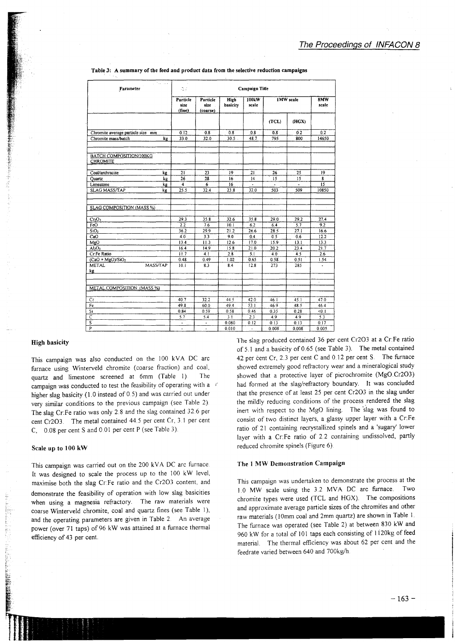| 2 Paul Law<br>Parameter                    | Campaign Title<br>Ą7         |                              |                  |                  |                  |              |                 |  |  |
|--------------------------------------------|------------------------------|------------------------------|------------------|------------------|------------------|--------------|-----------------|--|--|
|                                            | Particle<br>size<br>(fine)   | Particle<br>size<br>(coarse) | High<br>basicity | 100kW<br>scale   | <b>1MW</b> scale | 8MW<br>scale |                 |  |  |
|                                            |                              |                              |                  |                  | (TCL)            | (HGX)        |                 |  |  |
| Chromite average particle size mm          | 0.12                         | 0.8                          | 0.8              | 0.8              | 0.8              | 0.2          | 0.2             |  |  |
| Chromite mass/batch<br>kg                  | 33.0                         | 32.0                         | $30.5$ .         | 48.7             | 795              | 800          | 14650           |  |  |
|                                            |                              |                              |                  |                  |                  |              |                 |  |  |
| BATCH COMPOSITION/100KG<br><b>CHROMITE</b> |                              |                              |                  |                  |                  |              |                 |  |  |
| Coal/anthracite<br>kg                      | 21                           | 23                           | 19               | 21               | 26               | 25           | 19              |  |  |
| Quartz<br>kg                               | $\overline{26}$              | 28                           | 16               | 14               | 15               | 15           | 8               |  |  |
| Limestone<br>kg                            | $\overline{\mathbf{4}}$      | 6                            | 16               |                  |                  |              | $\overline{15}$ |  |  |
| <b>SLAG MASS/TAP</b><br>kg                 | 25.5                         | 32.4                         | 23.8             | 32.0             | 503              | 509          | 10850           |  |  |
|                                            |                              |                              |                  |                  |                  |              |                 |  |  |
| SLAG COMPOSITION (MASS %)                  |                              |                              |                  |                  |                  |              |                 |  |  |
| Cr <sub>2</sub> O <sub>3</sub>             | 29.3                         | 35.8                         | 32.6             | 35.8             | 29.0             | 29.2         | 27.4            |  |  |
| FeO                                        | 2.2                          | 7.6                          | 10.1             | 6.2              | 6.4              | 5.7          | 9.2             |  |  |
| SiO <sub>2</sub>                           | 36.2                         | 29.9                         | 21.2             | 26.6             | 28.5             | 27.1         | 16.6            |  |  |
| $\overline{\text{CaO}}$                    | 4.0                          | 3.3                          | 9.0              | 0.4              | 0.5              | 0.6          | 12.2            |  |  |
| MgO                                        | 13.4                         | 11.3                         | 12.6             | 17.0             | 15.9             | 13.1         | 13.3            |  |  |
| Al <sub>2</sub> O <sub>3</sub>             | 16.4                         | 14.9                         | 15.8             | 21.0             | 20.2             | 23.4         | 21.7            |  |  |
| Cr:Fe Ratio                                | 11.7                         | 4.1                          | 2.8              | $\overline{5.1}$ | 4.0              | 4.5          | 2.6             |  |  |
| $(CaO + MgO)/SiO2$                         | 0.48                         | 0.49                         | 1.02             | 0.65             | 0.58             | 0.51         | 1.54            |  |  |
| MASS/TAP<br><b>METAL</b>                   | 10.1                         | 8.3                          | 8.4              | 12.8             | 273              | 285          | $\bullet$       |  |  |
| kg                                         |                              |                              |                  |                  |                  |              |                 |  |  |
|                                            |                              |                              |                  |                  |                  |              | ¥.              |  |  |
| METAL COMPOSITION (MASS %)                 |                              |                              |                  |                  |                  |              |                 |  |  |
|                                            |                              |                              |                  |                  |                  |              |                 |  |  |
| Cr                                         | 40.7                         | 32.2                         | 44.5             | 42.0             | 46.1             | 45.1         | 47.0            |  |  |
| Fe                                         | 49.8                         | 60.0                         | 49.4             | 53.1             | 46.9             | 48.5         | 46.4            |  |  |
| Si                                         | 0.84                         | 0.59                         | 0.58             | 0.46             | 0.35             | 0.28         | 0.1             |  |  |
| $\overline{C}$                             | 5.7                          | 5.4                          | $3.\overline{1}$ | 2.3              | 4.9              | 4.9          | 5.3             |  |  |
| $\overline{\mathbf{s}}$                    | $\qquad \qquad \blacksquare$ | $\blacksquare$               | 0.080            | 0.12             | 0.13             | 0.13         | 0.17            |  |  |
| $\overline{ }$                             |                              |                              | 0.010            |                  | 0.009            | 0.009        | 0.005           |  |  |

#### Table 3: A summary of the feed and product data from the selective reduction campaigns

## **High basicity**

This campaign was also conducted on the 100 kVA DC arc furnace using Winterveld chromite (coarse fraction) and coal, quartz and limestone screened at 6mm (Table 1). The campaign was conducted to test the feasibility of operating with a r higher slag basicity (1.0 instead of 0.5) and was carried out under very similar conditions to the previous campaign (see Table 2). The slag Cr:Fe ratio was only 2.8 and the slag contained 32.6 per cent Cr2O3. The metal contained 44.5 per cent Cr, 3.1 per cent C, 0.08 per cent S and 0.01 per cent P (see Table 3).

#### Scale up to 100 kW

This campaign was carried out on the 200 kVA DC arc furnace. It was designed to scale the process up to the 100 kW level, maximise both the slag Cr:Fe ratio and the Cr2O3 content, and demonstrate the feasibility of operation with low slag basicities when using a magnesia refractory. The raw materials were coarse Winterveld chromite, coal and quartz fines (see Table 1), and the operating parameters are given in Table 2. An average power (over 71 taps) of 96 kW was attained at a furnace thermal efficiency of 43 per cent.

The slag produced contained 36 per cent Cr2O3 at a Cr:Fe ratio of 5.1 and a basicity of 0.65 (see Table 3). The metal contained 42 per čent Cr, 2.3 per cent C and 0.12 per cent S. The furnace showed extremely good refractory wear and a mineralogical study showed that a protective layer of picrochromite (MgO.Cr2O3) had formed at the slag/refractory boundary. It was concluded that the presence of at least 25 per cent Cr2O3 in the slag under the mildly reducing conditions of the process rendered the slag inert with respect to the MgO lining. The slag was found to consist of two distinct layers, a glassy upper layer with a Cr:Fe ratio of 21 containing recrystallized spinels and a 'sugary' lower layer with a Cr:Fe ratio of 2.2 containing undissolved, partly reduced chromite spinels (Figure 6).

# The 1 MW Demonstration Campaign

This campaign was undertaken to demonstrate the process at the 1.0 MW scale using the 3.2 MVA DC arc furnace. Two chromite types were used (TCL and HGX). The compositions and approximate average particle sizes of the chromites and other raw materials (10mm coal and 2mm quartz) are shown in Table 1. The furnace was operated (see Table 2) at between 830 kW and 960 kW for a total of 101 taps each consisting of 1120kg of feed material. The thermal efficiency was about 62 per cent and the feedrate varied between 640 and 700kg/h.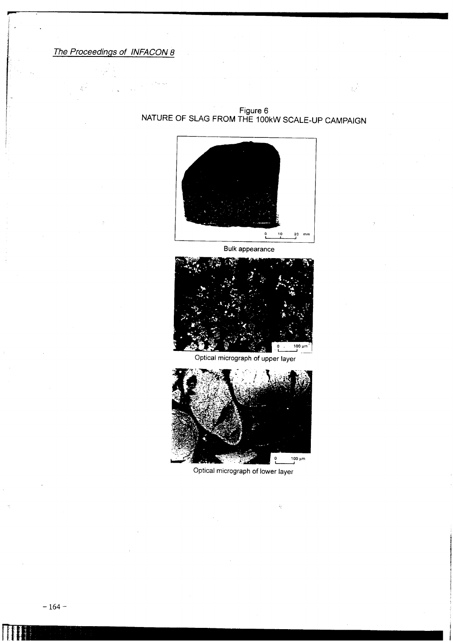**,...**

Figure 6 NATURE OF SLAG FROM THE 100kW SCALE-UP CAMPAIGN



Bulk appearance



Optical micrograph of upper layer



Optical micrograph of lower layer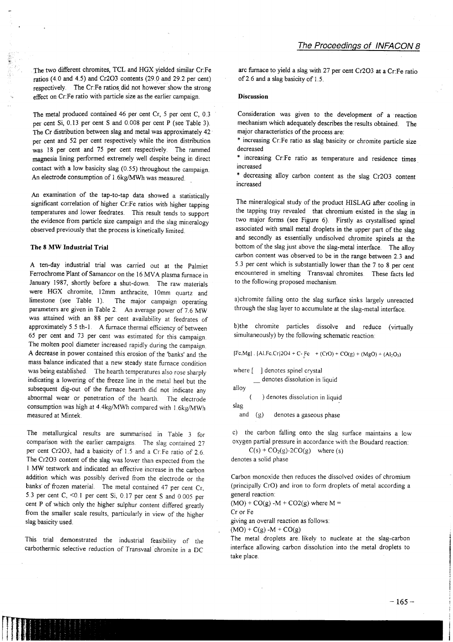The two different chromites, TCL and HGX yielded similar Cr:Fe ratios (4.0 and 4.5) and Cr203 contents (29.0 and 29.2 per cent) respectively. The Cr:Fe ratios did not however show the strong effect on Cr:Fe ratio with particle size as the earlier campaign.

The metal produced contained 46 per cent Cr, 5 per cent C, 0.3 per cent Si, 0.13 per cent S and 0.008 per cent P (see Table 3). The Cr distribution between slag and metal was approximately 42 per cent and 52 per cent respectively while the iron distribution was 18 per cent and 75 per cent respectively. The rammed magnesia lining performed extremely well despite being in direct contact with a low basicity slag (0.55) throughout the campaign. An electrode consumption of 1.6kg/MWh was measured.

An examination of the tap-to-tap data showed a statistically significant correlation of higher Cr:Fe ratios with higher tapping temperatures and lower feedrates. This result tends to support the evidence from particle size campaign and the slag mineralogy observed previously that the process is kinetically limited.

## **The 8 MW Industrial Trial**

A ten-day industrial trial was carried out at the Palmiet Ferrochrome Plant of Samancor on the 16 MVA plasma furnace in January 1987, shortly before a shut-down. The raw materials were HGX chromite, 12mm anthracite, 10mm quartz and limestone (see Table 1). The major campaign operating The major campaign operating parameters are given in Table 2. An average power of 7.6 MW was attained with an 88 per cent availability at feedrates of approximately 5.5 th-l . A furnace thermal efficiency of between 65 per cent and 73 per cent was estimated for this campaign The molten pool diameter increased rapidly during the campaign A decrease in power contained this erosion of the 'banks' and the mass balance indicated that a new steady state furnace condition was being established. The hearth temperatures also rose sharply indicating a lowering of the freeze line in the metal heel but the subsequent dig-out of the furnace hearth did not indicate any abnormal wear or penetration of the hearth. The electrode consumption was high at 4.4kg/MWh compared with 1.6kg/MWh measured at Mintek.

The metallurgical results are summarised in Table 3 for comparison with the earlier campaigns. The slag contained 27 per cent Cr203, had a basicity of 1.5 and a Cr:Fe ratio of 2.6 The Cr203 content of the slag was lower than expected from the 1 MW testwork and indicated an effective increase in the carbon addition which was possibly derived from the electrode or the banks' of frozen material. The metal contained 47 per cent Cr, 5.3 per cent C,  $\leq 0.1$  per cent Si, 0.17 per cent S and 0.005 per cent P of which only the higher sulphur content differed greatly from the smaller scale results, particularly in view of the higher slag basicity used.

This trial demonstrated the industrial feasibility of the carbothermic selective reduction of Transvaal chromite in a DC

arc furnace to yield a slag with 27 per cent Cr203 at a Cr:Fe ratio of2.6 and a slag basicity of 1.5.

#### **Discussion**

Consideration was given to the development of a reaction mechanism which adequately describes the results obtained. The major characteristics of the process are:

\* increasing Cr:Fe ratio as slag basicity or chromite particle size decreased

\* increasing Cr:Fe ratio as temperature and residence times increased

\* decreasing alloy carbon content as the slag Cr203 content increased

The mineralogical study of the product HlSLAG after cooling in the tapping tray revealed that chromium existed in the slag in two major forms (see Figure 6). Firstly as crystallised spinel associated with small metal droplets in the upper part of the slag and secondly as essentially undisolved chromite spinels at the bottom of the slag just above the slag-metal interface. The alloy carbon content was observed to be in the range between 2.3 and 5.3 per cent which is substantially lower than the 7 to 8 per cent encountered in smelting Transvaal chromites. These facts led to the following proposed mechanism

a)chromite falling onto the slag surface sinks largely unreacted through the slag layer to accumulate at the slag-metal interface.

b)the chromite particles dissolve and reduce (virtually simultaneously) by the following schematic reaction:

 $[Fe.Mg]$ .  $[AI.Fc.Cr]2O4 + C-Fc + (CrO) + CO(g) + (MgO) + (Al_2O_3)$ 

where  $\begin{bmatrix} \end{bmatrix}$  denotes spinel crystal denotes dissolution in liquid alloy

) denotes dissolution in liquid slag

and (g) denotes a gaseous phase

c) the carbon falling onto the slag surface maintains a low oxygen partial pressure in accordance with the Boudard reaction:

 $C(s) + CO<sub>2</sub>(g) - 2CO(g)$  where (s) denotes a solid phase

Carbon monoxide then reduces the dissolved oxides of chromium (principally CrO) and iron to form droplets of metal according a general reaction:

 $(MO) + CO(g) - M + CO2(g)$  where M =

Cr or Fe

giving an overall reaction as follows:

 $(MO) + C(g) - M + CO(g)$ 

The metal droplets are. likely to nucleate at the slag-carbon interface allowing carbon dissolution into the metal droplets to take place.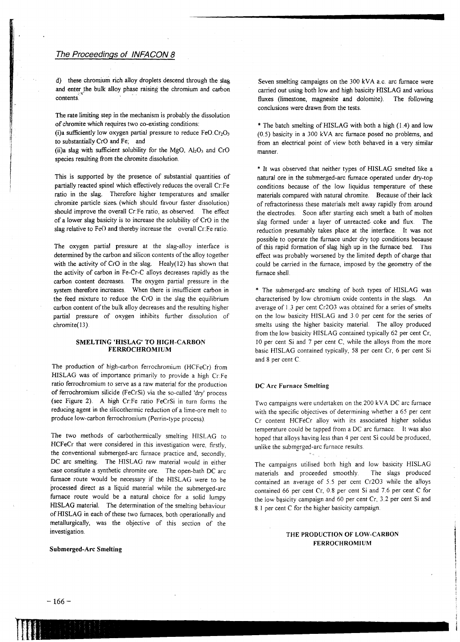d) these chromium rich alloy droplets descend through the slag and enter the bulk alloy phase raising the chromium and carbon contents. .

The rate limiting step in the mechanism is probably the dissolution of chromite which requires two co-existing conditions:

(i)a sufficiently low oxygen partial pressure to reduce  $FeO.Cr<sub>2</sub>O<sub>3</sub>$ to substantially CrO and Fe; and

(ii)a slag with sufficient solubility for the MgO,  $Al_2O_3$  and CrO species resulting from the chromite dissolution.

This is supported by the presence of substantial quantities of partially reacted spinel which effectively reduces the overall Cr:Fe ratio in the slag. Therefore higher temperatures and smaller chromite particle sizes. (which should favour faster dissolution) should improve the overall Cr:Fe ratio, as observed. The effect of a lower slag basicity is to increase the solubility of CrO in the slag relative to  $Fe()$  and thereby increase the overall  $CrFe$  ratio.

The oxygen partial pressure at the slag-alloy interface is determined by the carbon and silicon contents of the alloy together with the activity of  $CrO$  in the slag. Healy(12) has shown that the activity of carbon in Fe-Cr-C alloys decreases rapidly as the carbon content decreases. The oxygen partial pressure in the system therefore increases. When there is insufficient carbon in the feed mixture to 'reduce the CrO in the slag the equilibrium carbon content of the bulk alloy decreases and the resulting higher partial pressure of oxygen inhibits further dissolution of chromite(13).

# SMELTING 'HISLAG' TO HIGH-CARBON FERROCHROMIUM

The production of high-carbon ferrochromium (HCFeCr) from HISLAG was of importance primarily to provide a high Cr:Fe ratio ferrochromium to serve as a raw material for the production of ferrochromium silicide (FeCrSi) via the so-called 'dry' process (see Figure 2). A high Cr:Fe ratio FeCrSi in turn forms the reducing agent in the silicothermic reduction of a lime-ore melt to produce low-carbon ferrochromium (Perrin-type process)

The two methods of carbothermically smelting HISLAG to HCFeCr that were considered in this investigation were, firstly, the conventional submerged-arc furnace practice and, secondly, DC arc smelting. The HISLAG raw material would in either case constitute a synthetic chromite ore. The open-bath DC arc furnace route would be necessary if the HISLAG were to be processed direct as a liquid material while the submerged-arc furnace route would be a natural choice for a solid lumpy HISLAG material. The determination of the smelting behaviour of HISLAG in each of these two furnaces, both operationally and metallurgically, was the objective of this section of the investigation.

Submerged-Arc Smelting

Seven smelting campaigns on the 300 kVA a.c, arc furnace were carried out using both low and high basicity HISLAG and various fluxes (limestone, magnesite and dolomite). The following conclusions were drawn from the tests.

\* The batch smelting of HISLAG with both a high (1.4) and low (0.5) basicity in a 300 kVA arc furnace posed no problems, and from an electrical point of view both behaved in a very similar manner.

\* It was observed that neither types of HISLAG smelted like a natural ore in the submerged-arc furnace operated under dry-top conditions because of the low liquidus temperature of these materials compared with natural chromite. Because of their lack of refractorinesss these materials melt away rapidly from around the electrodes. Soon after starting each smelt a bath of molten slag formed under a layer of unreacted coke and flux. The reduction presumably takes place at the interface. It was not possible to operate the furnace under dry top conditions because of this rapid formation of slag high up in the furnace bed. This effect was probably worsened by the limited depth of charge that could be carried in the furnace, imposed by the geometry of the furnace shell.

\* The submerged-arc smelting of both types of HISLAG was characterised by low chromium oxide contents in the slags. An average of 1.3 per cent Cr203 was obtained for a series of smelts on the Iow basicity HISLAG and 3.0 per cent for the series of smelts using the higher basicity material. The alloy produced from the low basicity HISLAG contained typically 62 per cent Cr, 10 per cent Si and 7 per cent C, while the alloys from the more basic HISLAG contained typically, 58 per cent Cr, 6 per cent Si and 8 per cent C

## DC Arc Furnace Smelting

Two campaigns were undertaken on the.200 kVA DC arc furnace with the specific objectives of determining whether a 65 per cent Cr content HCFeCr alloy with its associated higher solidus temperature could be tapped from a DC arc furnace It was also hoped that alloys having less than 4 per cent Si could be produced, unlike the submerged-arc furnace results.

The campaigns utilised both high and low basicity HISLAG materials and proceeded smoothly The slags produced contained an average of 5.5 per cent Cr203 while the alloys contained 66 per cent Cr, 0.8 per cent Si and 7.6 per cent C for the low basicity campaign and 60 per cent Cr, 3.2 per cent Si and 8. I per cent C for the higher basicity campaign.

# THE PRODUCTION OF LOW-CARBON FERROCHROMIUM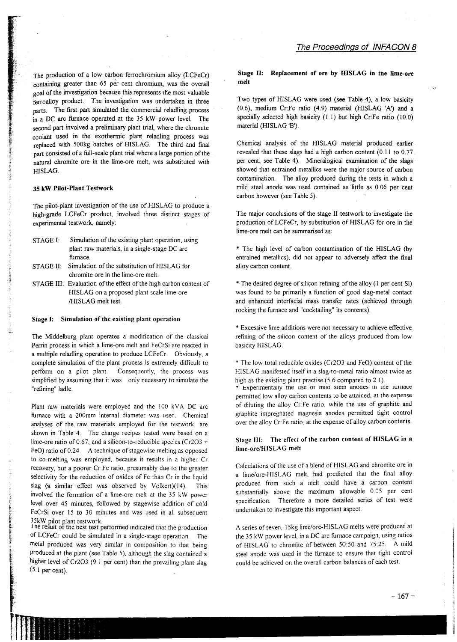The production of a low carbon ferrochromium alloy (LCFeCr) containing greater than 65 per cent chromium, was the overall goal of the investigation because this represents the most valuable ferroalloy product. The investigation was undertaken in three parts. The first part simulated the commercial reladling process in a DC arc furnace operated at the 35 kW power level. The second part involved a preliminary plant trial, where the chromite coolant used in the exothermic plant reladling. process was replaced with 500kg batches of HISLAG. The third and final part consisted of a full-scale plant trial where a large portion of the natural chromite ore in the lime-ore melt, was substituted with HISLAG.

#### 35 kW Pilot-Plant Testwork

The pilot-plant investigation of the use of HISLAG to produce a high-grade LCFeCr product, involved three distinct stages of experimental testwork, namely:

- STAGE I: Simulation of the existing plant operation, using plant raw materials, in a single-stage DC arc furnace. STAGE II: Simulation of the substitution of HISLAG for chromite ore in the lime-ore melt.
- STAGE III: Evaluation of the effect of the high carbon content of HISLAG on a proposed plant scale lime-ore /HISLAG melt test.

## Stage I: Simulation of the existing plant operation

The Middelburg plant operates a modification of the classical Perrin process in which a lime-ore melt and FeCrSi are reacted in a multiple reladling operation to produce LCFeCr. Obviously, a complete simulation of the plant process is extremely difficult to perform on a pilot plant. Consequently, the process was simplified by assuming that it was only necessary to simulate the "refining" ladle.

Plant raw materials were employed and the 100 kVA DC arc furnace with a 200mm internal diameter was used. Chemical analyses of the raw materials employed for the testwork, are shown in Table 4. The charge recipes tested were based on a lime-ore ratio of 0.67, and a silicon-to-reducible species (Cr203 + FeO) ratio of 0.24. A technique of stagewise melting as opposed to eo-melting was employed, because it results in a higher Cr recovery, but a poorer Cr:Fe ratio, presumably due to the greater selectivity for the reduction of oxides of Fe than Cr in the liquid slag (a similar effect was observed by Volkert)(14) This involved the formation of a lime-ore melt at the 35 kW power level over 45 minutes, followed by stagewise addition of cold FeCrSi over 15 to 30 minutes and was used in all subsequent 35kW pilot plant testwork.

I he result of the best test performed indicated that the production of LCFeCr could be simulated in a single-stage operation. The metal produced was very similar in composition to that being produced at the plant (see Table 5), although the slag contained a higher level of Cr203 (9.1 per cent) than the prevailing plant slag  $(5.1$  per cent).

real and the second second second second second second second second second second second second second second<br>The second second second second second second second second second second second second second second second s

||薬法化

 $\frac{1}{2}$ . <sup>4</sup> :: ¥

i <sup>T</sup>

## Stage II: Replacement of ore by HISLAG in the lime-ore melt

Two types of HISLAG were used (see Table 4), a low basicity (0.6), medium Cr:Fe ratio (4.9) material (HISLAG 'A') and a specially selected high basicity (1.1) but high Cr:Fe ratio (10.0) material (HISLAG 'B').

Chemical analysis of the HISLAG material produced earlier revealed that these slags had a high carbon content (0.11 to 0.77 per cent, see Table 4). Mineralogical examination of the slags showed that entrained metallics were the major source of carbon contamination. The alloy produced during the tests in which a mild steel anode was used contained as little as 0.06 per cent carbon however (see Table 5).

The major conclusions of the stage II testwork to investigate the production of LCFeCr, by substitution of HISLAG for ore in the lime-ore melt can be summarised as:

\* The high level of carbon contamination of the HISLAG (by entrained metallics), did not appear to adversely affect the final alloy carbon content.

\* The desired degree of silicon refining of the alloy (1 per cent Si) was found to be primarily a function of good slag-metal contact and enhanced interfacial mass transfer rates (achieved through rocking the furnace and "cocktailing" its contents).

\* Excessive lime additions were not necessary to achieve effective refining of the silicon content of the alloys produced from low basicity HISLAG.

\* The low total reducible oxides (Cr2O3 and FeO) content of the HISLAG manifested itself in a slag-to-metal ratio almost twice as high as the existing plant practise (5.6 compared to 2.1).

\* Experimentally the use or mud steer anoues in the iumace permitted low alloy carbon contents to be attained, at the expense of diluting the alloy Cr:Fe ratio, while the use of graphite and graphite impregnated magnesia anodes permitted tight control over the alloy Cr:Fe ratio, at the expense of alloy carbon contents.

# Stage Ill: The effect of the carbon content of HISLAG in a Iime-ore/HISLAG melt

Calculations of the use of a blend of HISLAG and chromite ore in a lime/ore-HISLAG melt, had predicted that the final alloy produced from such a melt could have a carbon content substantially above the maximum allowable 0.05 per cent specification. Therefore a more detailed series of test were undertaken to investigate this important aspect.

A series of seven, 15kg lime/ore-HISLAG melts were produced at the 35 kW power level, in a DC arc furnace campaign, using ratios of HISLAG to chromite of between 50:50 and 75:25. A mild steel anode was used in the furnace to ensure that tight control could be achieved on the overall carbon balances of each test.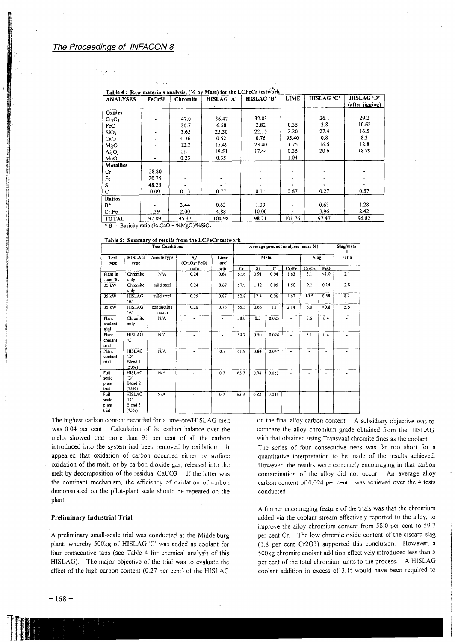| <b>ANALYSES</b>                | FeCrSi | Chromite | HISLAG 'A' | HISLAG 'B' | LIME   | HISLAG 'C' | HISLAG 'D'<br>(after jigging) |  |
|--------------------------------|--------|----------|------------|------------|--------|------------|-------------------------------|--|
| Oxides                         |        |          |            |            |        |            |                               |  |
| Cr <sub>2</sub> O <sub>3</sub> |        | 47.0     | 36.47      | 32.03      |        | 26.1       | 29.2                          |  |
| FeO                            |        | 20.7     | 6.58       | 2.82       | 0.35   | 3.8        | 10.62                         |  |
| SiO <sub>2</sub>               |        | 3.65     | 25.30      | 22.15      | 2.20   | 27.4       | 16.5                          |  |
| CaO                            |        | 0.36     | 0.52       | 0.76       | 95.40  | 0.8        | 8.3                           |  |
| MgO                            |        | 12.2     | 15.49      | 23.40      | 1.75   | 16.5       | 12.8                          |  |
| $Al_2O_3$                      |        | 11.1     | 19.51      | 17.44      | 0.35   | 20.6       | 18.79                         |  |
| MnO                            | ۰      | 0.23     | 0.35       |            | 1.04   |            |                               |  |
| <b>Metallics</b>               |        |          |            |            |        |            |                               |  |
| Cr                             | 28.80  |          |            |            |        |            |                               |  |
| Fe                             | 20.75  |          |            |            |        |            |                               |  |
| Si                             | 48.25  |          |            |            |        |            |                               |  |
| с                              | 0.09   | 0.13     | 0.77       | 0.11       | 0.67   | 0.27       | 0.57                          |  |
| Ratios                         |        |          |            |            |        |            |                               |  |
| $B^*$                          |        | 3.44     | 0.63       | 1.09       |        | 0.63       | 1.28                          |  |
| CrFe                           | 1.39   | 2.00     | 4.88       | 10.00      |        | 3.96       | 2.42                          |  |
| TOTAL                          | 97.89  | 95.37    | 104.98     | 98.71      | 101.76 | 97.47      | 96.82                         |  |

\* B = Basicity ratio (% CaO + %MgO)/%SiO<sub>2</sub>

Table 5: Summary of results from the LCFeCr testwork

| <b>Test Conditions</b>          |                                                     |                      |                     |               |       | Average product analyses (mass %) |       |       |                                |       |       |  |
|---------------------------------|-----------------------------------------------------|----------------------|---------------------|---------------|-------|-----------------------------------|-------|-------|--------------------------------|-------|-------|--|
| Test<br>type                    | <b>HISLAG</b><br>type                               | Anode type           | SV<br>$(Cr2O3+FeO)$ | Lime<br>'ore' | Metal |                                   |       |       | <b>Slag</b>                    |       | ratio |  |
|                                 |                                                     |                      | ratio               | ratio         | Cr    | Si                                | C     | Cr/Fe | Cr <sub>2</sub> O <sub>3</sub> | FeO   |       |  |
| Plant in<br>June '85            | Chromite<br>only                                    | N/A                  | 0.24                | 0.67          | 61.6  | 0.91                              | 0.04  | 1.63  | 5.1                            | < 1.0 | 2.1   |  |
| 35 kW                           | Chromite<br>only                                    | mild steel           | 0.24                | 0.67          | 57.9  | 1.12                              | 0.05  | 1.50  | 9.1                            | 0.14  | 2.8   |  |
| 35 kW                           | <b>HISLAG</b><br>٠в.                                | mild steel           | 0.25                | 0.67          | 52.8  | 12.4                              | 0.06  | 1.67  | 10.5                           | 0.68  | 8.2   |  |
| 35 kW                           | <b>HISLAG</b><br>٠A'                                | conducting<br>hearth | 0.20                | 0.76          | 65.3  | 0.66                              | 1.1   | 2.14  | 6.0                            | &0.8  | 5.6   |  |
| Plant<br>coolant<br>trial       | Chromite<br>only                                    | N/A                  |                     |               | 58.0  | 0.5                               | 0.025 |       | 5.6                            | 0.4   |       |  |
| Plant<br>coolant<br>trial       | <b>HISLAG</b><br>٠Ć٠                                | N/A                  | ٠                   | ٠             | 59.7  | 0.50                              | 0.024 | ٠     | 5.1                            | 0.4   |       |  |
| Plant<br>coolant<br>trial       | <b>HISLAG</b><br>'D'<br>Blend 1<br>(50%)            | N/A                  |                     | 0.7           | 61.9  | 0.84                              | 0.047 |       |                                | ٠     |       |  |
| Full<br>scale<br>plant<br>trial | <b>HISLAG</b><br>יחי<br>Blend <sub>2</sub><br>(75%) | N/A                  |                     | 0.7           | 63.7  | 0.98                              | 0.053 |       |                                |       |       |  |
| Full<br>scale<br>plant<br>trial | <b>HISLAG</b><br>'D'<br>Blend 3<br>(75%)            | N/A                  | ٠                   | 0.7           | 63.9  | 0.82                              | 0.045 | ä.    |                                | ٠     |       |  |

The highest carbon content recorded for a lime-ore/HISLAG melt was 0.04 per cent. Calculation of the carbon balance over the melts showed that more than 91 per cent of all the carbon introduced into the system had been removed by oxidation. It appeared that oxidation of carbon occurred either by surface oxidation of the melt, or by carbon dioxide gas, released into the melt by decomposition of the residual CaCO3. If the latter was the dominant mechanism, the efficiency of oxidation of carbon demonstrated on the pilot-plant scale should be repeated on the plant.

#### **Preliminary Industrial Trial**

A preliminary small-scale trial was conducted at the Middelburg plant, whereby 500kg of HISLAG 'C' was added as coolant for four consecutive taps (see Table 4 for chemical analysis of this HISLAG). The major objective of the trial was to evaluate the effect of the high carbon content (0.27 per cent) of the HISLAG on the final alloy carbon content. A subsidiary objective was to compare the alloy chromium grade obtained from the HISLAG with that obtained using Transvaal chromite fines as the coolant.

The series of four consecutive tests was far too short for a quantitative interpretation to be made of the results achieved. However, the results were extremely encouraging in that carbon contamination of the alloy did not occur. An average alloy carbon content of 0.024 per cent was achieved over the 4 tests conducted.

A further encouraging feature of the trials was that the chromium added via the coolant stream effectively reported to the alloy, to improve the alloy chromium content from 58.0 per cent to 59.7 per cent Cr. The low chromic oxide content of the discard slag (1.8 per cent Cr2O3) supported this conclusion. However, a 500kg chromite coolant addition effectively introduced less than 5 per cent of the total chromium units to the process. A HISLAG coolant addition in excess of 3.1t would have been required to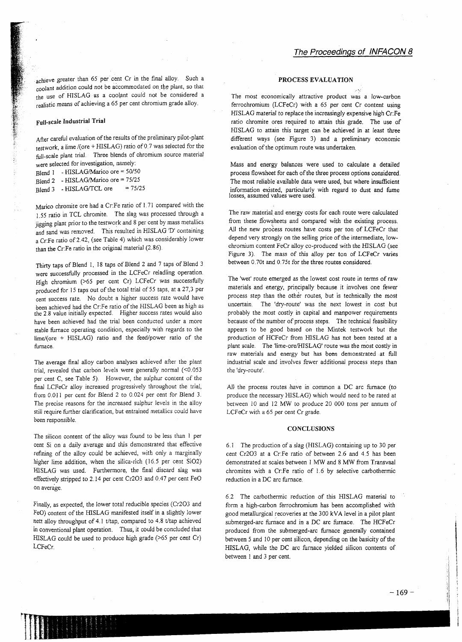achieve greater than 65 per cent Cr in the final alloy. Such a coolant addition could not be accommodated on the plant, so that the use of HISLAGes a coolant could not be considered a realistic means of achieving a 65 per cent chromium grade alloy.

# **Full-scale IndustrialTrial**

After careful evaluation of the results of the preliminary pilot-plant testwork, a lime/(ore + HISLAG) ratio of 0.7 was selected for the full-scale plant trial. Three blends of chromium source material were selected for investigation, namely:

Blend 1 - HISLAG/Marico ore = 50/50 Blend 2 - HISLAG/Marico ore = 75/25

Blend 3 - HISLAG/TCL ore =  $75/25$ 

Marico chromite ore had a Cr:Fe ratio of 1.71 compared with the 1.55 ratio in TCL chromite. The slag was processed through a jigging plant prior to the testwork and 8 per cent by mass metallics and sand was removed. This resulted in HISLAG 'D' containing a Cr:Fe ratio of2.42, (see Table 4) which was considerably *lower* than the Cr:Fe ratio in the original material (2.86).

Thirty taps of Blend I, 18 taps of Blend 2 and 7 taps of Blend 3 were successfully processed in the LCFeCr reladling operation. High chromium (>65 per cent Cr) LCFeCr was successfully produced for 15 taps out of the total trial of 55 taps, at a 27,3 per cent success rate. No doubt a higher success rate would have been achieved had the Cr:Fe ratio of the HISLAG been as high as the 2.8 value initially expected. Higher success rates would also have been achieved had the trial been conducted under a more stable furnace operating condition, especially with regards to the  $lime/(ore + HISLAG)$  ratio and the feed/power ratio of the furnace.

The average final alloy carbon analyses achieved after the plant trial, revealed that carbon levels were generally normal  $(<0.053$ per cent C, see Table 5). However, the sulphur content of the final LCFeCr alloy increased progressively throughout the trial, from 0.011 per cent for Blend 2 to 0.024 per cent for Blend 3. The precise reasons for the increased sulphur levels in the alloy still require further clarification, but entrained metallics could have been responsible.

The silicon content of the alloy was found to be less than I per cent Si on a daily average and this demonstrated that effective refining of the alloy could be achieved, with only a marginally higher lime addition, when the silica-rich (16.5 per cent Si02) HISLAG was used. Furthermore, the final discard slag was effectivelystripped to 2.14 per cent Cr203 and 0.47 per cent FeO on average.

Finally, as expected, the lower total reducible species (Cr203 and FeO) content of the HISLAG manifested itself in a slightly lower nett alloy throughput of 4.1 t/tap, compared to 4.8 t/tap achieved in conventional plant operation. Thus, it could be concluded that HISLAG could be used to produce high grade (>65 per cent Cr) LCFeCr.

#### **PROCESS EVALUATION**

The most economically attractive product was a low-carbon ferrochromium (LCFeCr) with a 65 per cent Cr content using HISLAG material to replace the increasingly expensive high Cr:Fe ratio chromite ores required to attain this grade. The use of HISLAG to attain this target can be achieved in at least three different ways (see Figure 3) and a preliminary economic evaluation of the optimum route was undertaken.

Mass and energy balances were used to calculate a detailed process flowsheet for each of the three process options considered. The most reliable available data were used, but where insufficient information existed, particularly with regard to dust and fume losses, assumed values were used.

The raw material and energy costs for each route were calculated from these flowsheets and compared with the existing process. All the new process routes have costs per ton of LCFeCr that depend very strongly on the selling price of the intermediate, lowchromium content FeCr alloy eo-produced with the HISLAG (see Figure 3). The mass of this alloy per ton of LCFeCr varies between O.70t and O.75t for the three routes considered.

The 'wet' route emerged as the lowest cost route in terms of raw materials and energy, principally because it involves one fewer process step than the other routes, but is technically the most uncertain. The 'dry-route' was the next lowest in cost but probably the most costly in capital and manpower requirements because of the number of process steps. The technical feasibility appears to be good based on the Mintek testwork but the production of HCFeCr from HISLAG has not been tested at a plant scale. The 'lime-ore/HISLAG' route was the most costly in raw materials and energy but has been demonstrated at full industrial scale and involves fewer additional process steps than the 'dry-route'.

All the process routes have in common a DC arc furnace (to produce the necessary HISLAG) which would need to be rated at between 10 and 12 MW to produce 20 000 tons per annum of LCFeCr with a 65 per cent Cr grade.

#### **CONCLUSIONS**

6.1 The production of a *slag*(HISLAG) containing up to 30 per cent Cr203 at a Cr.Fe ratio of between 2.6 and 4.5 has been demonstrated at scales between I MW and 8 MW from Transvaal chromites with a Cr:Fe ratio of 1.6 by selective carbothermic reduction in a DC arc furnace.

6.2 The carbothermic reduction of this HISLAG material to form a high-carbon ferrochromium has been accomplished with good metallurgical recoveries at the 300 kVA level in a pilot plant submerged-arc furnace and in a DC arc furnace. The HCFeCr produced from the submerged-arc furnace generally contained between 5 and 10 per cent silicon, depending on the basicity of the HISLAG, while the DC arc furnace yielded silicon contents of between 1 and 3 per cent.